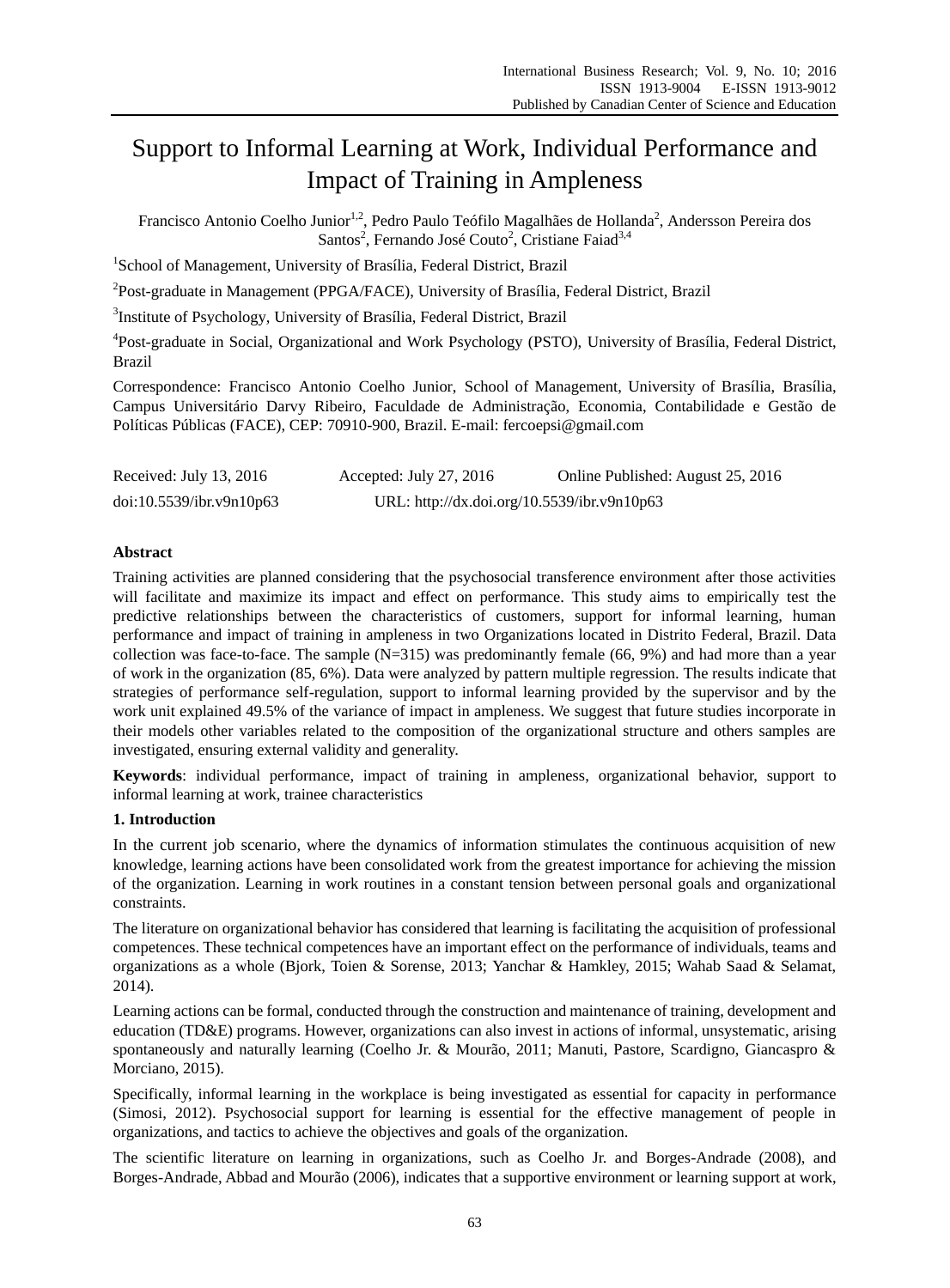# Support to Informal Learning at Work, Individual Performance and Impact of Training in Ampleness

Francisco Antonio Coelho Junior<sup>1,2</sup>, Pedro Paulo Te*ó*filo Magalh ães de Hollanda<sup>2</sup>, Andersson Pereira dos Santos<sup>2</sup>, Fernando Jos é Couto<sup>2</sup>, Cristiane Faiad<sup>3,4</sup>

<sup>1</sup>School of Management, University of Bras Iia, Federal District, Brazil

<sup>2</sup>Post-graduate in Management (PPGA/FACE), University of Bras Iia, Federal District, Brazil

<sup>3</sup>Institute of Psychology, University of Bras Iia, Federal District, Brazil

<sup>4</sup>Post-graduate in Social, Organizational and Work Psychology (PSTO), University of Bras Iia, Federal District, Brazil

Correspondence: Francisco Antonio Coelho Junior, School of Management, University of Brasília, Brasília, Campus Universitário Darvy Ribeiro, Faculdade de Administração, Economia, Contabilidade e Gestão de Políticas Públicas (FACE), CEP: 70910-900, Brazil. E-mail: fercoepsi@gmail.com

| Received: July 13, 2016  | Accepted: July $27, 2016$                   | Online Published: August 25, 2016 |
|--------------------------|---------------------------------------------|-----------------------------------|
| doi:10.5539/ibr.v9n10p63 | URL: http://dx.doi.org/10.5539/ibr.v9n10p63 |                                   |

# **Abstract**

Training activities are planned considering that the psychosocial transference environment after those activities will facilitate and maximize its impact and effect on performance. This study aims to empirically test the predictive relationships between the characteristics of customers, support for informal learning, human performance and impact of training in ampleness in two Organizations located in Distrito Federal, Brazil. Data collection was face-to-face. The sample  $(N=315)$  was predominantly female (66, 9%) and had more than a year of work in the organization (85, 6%). Data were analyzed by pattern multiple regression. The results indicate that strategies of performance self-regulation*,* support to informal learning provided by the supervisor and by the work unit explained 49.5% of the variance of impact in ampleness. We suggest that future studies incorporate in their models other variables related to the composition of the organizational structure and others samples are investigated, ensuring external validity and generality.

**Keywords**: individual performance, impact of training in ampleness, organizational behavior, support to informal learning at work, trainee characteristics

# **1. Introduction**

In the current job scenario, where the dynamics of information stimulates the continuous acquisition of new knowledge, learning actions have been consolidated work from the greatest importance for achieving the mission of the organization. Learning in work routines in a constant tension between personal goals and organizational constraints.

The literature on organizational behavior has considered that learning is facilitating the acquisition of professional competences. These technical competences have an important effect on the performance of individuals, teams and organizations as a whole (Bjork, Toien & Sorense, 2013; Yanchar & Hamkley, 2015; Wahab Saad & Selamat, 2014).

Learning actions can be formal, conducted through the construction and maintenance of training, development and education (TD&E) programs. However, organizations can also invest in actions of informal, unsystematic, arising spontaneously and naturally learning (Coelho Jr. & Mourão, 2011; Manuti, Pastore, Scardigno, Giancaspro & Morciano, 2015).

Specifically, informal learning in the workplace is being investigated as essential for capacity in performance (Simosi, 2012). Psychosocial support for learning is essential for the effective management of people in organizations, and tactics to achieve the objectives and goals of the organization.

The scientific literature on learning in organizations, such as Coelho Jr. and Borges-Andrade (2008), and Borges-Andrade, Abbad and Mourão (2006), indicates that a supportive environment or learning support at work,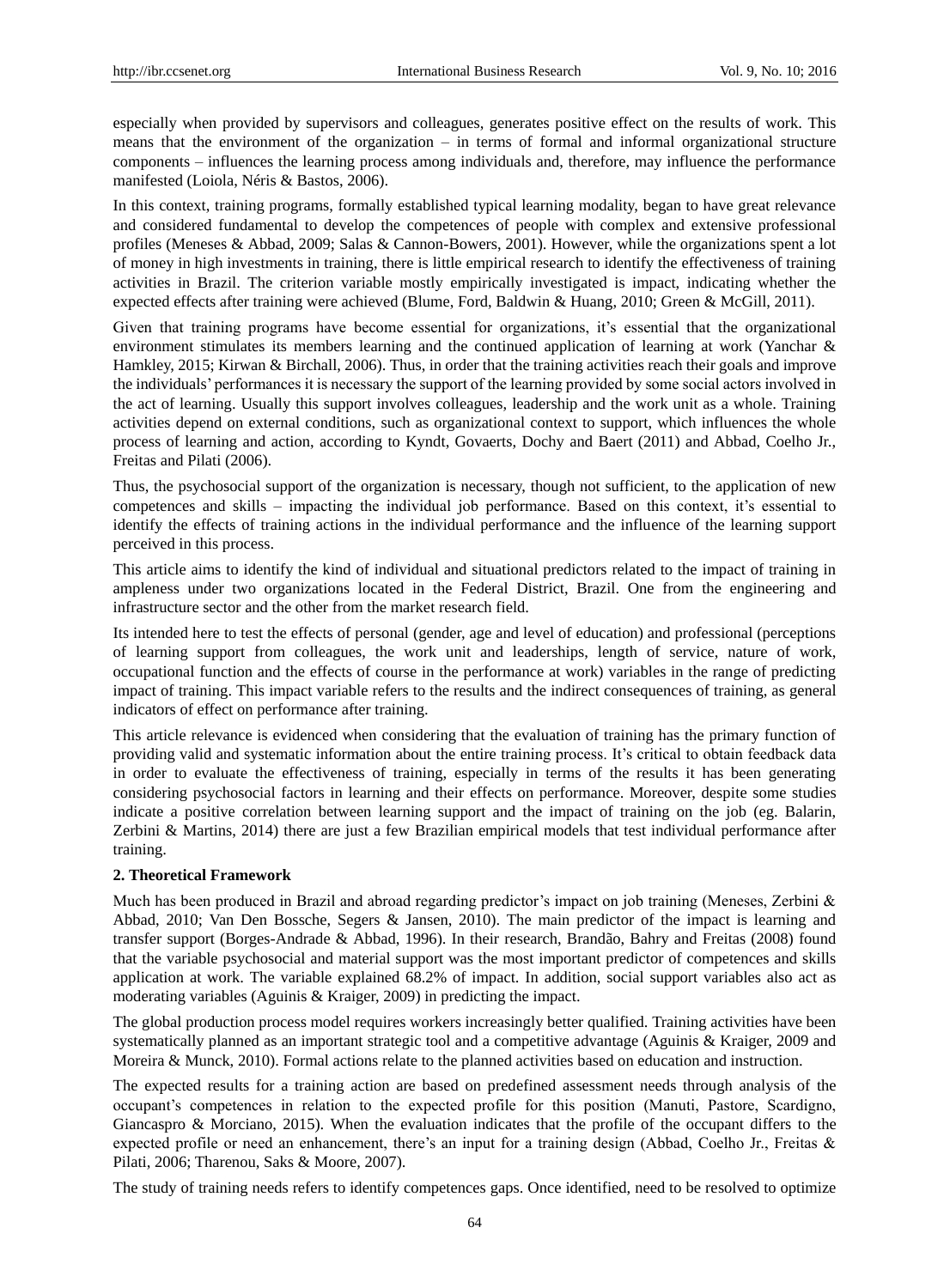especially when provided by supervisors and colleagues, generates positive effect on the results of work. This means that the environment of the organization – in terms of formal and informal organizational structure components – influences the learning process among individuals and, therefore, may influence the performance manifested (Loiola, Néris & Bastos, 2006).

In this context, training programs, formally established typical learning modality, began to have great relevance and considered fundamental to develop the competences of people with complex and extensive professional profiles (Meneses & Abbad, 2009; Salas & Cannon-Bowers, 2001). However, while the organizations spent a lot of money in high investments in training, there is little empirical research to identify the effectiveness of training activities in Brazil. The criterion variable mostly empirically investigated is impact, indicating whether the expected effects after training were achieved (Blume, Ford, Baldwin & Huang, 2010; Green & McGill, 2011).

Given that training programs have become essential for organizations, it's essential that the organizational environment stimulates its members learning and the continued application of learning at work (Yanchar & Hamkley, 2015; Kirwan & Birchall, 2006). Thus, in order that the training activities reach their goals and improve the individuals' performances it is necessary the support of the learning provided by some social actors involved in the act of learning. Usually this support involves colleagues, leadership and the work unit as a whole. Training activities depend on external conditions, such as organizational context to support, which influences the whole process of learning and action, according to Kyndt, Govaerts, Dochy and Baert (2011) and Abbad, Coelho Jr., Freitas and Pilati (2006).

Thus, the psychosocial support of the organization is necessary, though not sufficient, to the application of new competences and skills – impacting the individual job performance. Based on this context, it's essential to identify the effects of training actions in the individual performance and the influence of the learning support perceived in this process.

This article aims to identify the kind of individual and situational predictors related to the impact of training in ampleness under two organizations located in the Federal District, Brazil. One from the engineering and infrastructure sector and the other from the market research field.

Its intended here to test the effects of personal (gender, age and level of education) and professional (perceptions of learning support from colleagues, the work unit and leaderships, length of service, nature of work, occupational function and the effects of course in the performance at work) variables in the range of predicting impact of training. This impact variable refers to the results and the indirect consequences of training, as general indicators of effect on performance after training.

This article relevance is evidenced when considering that the evaluation of training has the primary function of providing valid and systematic information about the entire training process. It's critical to obtain feedback data in order to evaluate the effectiveness of training, especially in terms of the results it has been generating considering psychosocial factors in learning and their effects on performance. Moreover, despite some studies indicate a positive correlation between learning support and the impact of training on the job (eg. Balarin, Zerbini & Martins, 2014) there are just a few Brazilian empirical models that test individual performance after training.

#### **2. Theoretical Framework**

Much has been produced in Brazil and abroad regarding predictor's impact on job training (Meneses, Zerbini & Abbad, 2010; Van Den Bossche, Segers & Jansen, 2010). The main predictor of the impact is learning and transfer support (Borges-Andrade & Abbad, 1996). In their research, Brandão, Bahry and Freitas (2008) found that the variable psychosocial and material support was the most important predictor of competences and skills application at work. The variable explained 68.2% of impact. In addition, social support variables also act as moderating variables (Aguinis & Kraiger, 2009) in predicting the impact.

The global production process model requires workers increasingly better qualified. Training activities have been systematically planned as an important strategic tool and a competitive advantage (Aguinis & Kraiger, 2009 and Moreira & Munck, 2010). Formal actions relate to the planned activities based on education and instruction.

The expected results for a training action are based on predefined assessment needs through analysis of the occupant's competences in relation to the expected profile for this position (Manuti, Pastore, Scardigno, Giancaspro & Morciano, 2015). When the evaluation indicates that the profile of the occupant differs to the expected profile or need an enhancement, there's an input for a training design (Abbad, Coelho Jr., Freitas & Pilati, 2006; Tharenou, Saks & Moore, 2007).

The study of training needs refers to identify competences gaps. Once identified, need to be resolved to optimize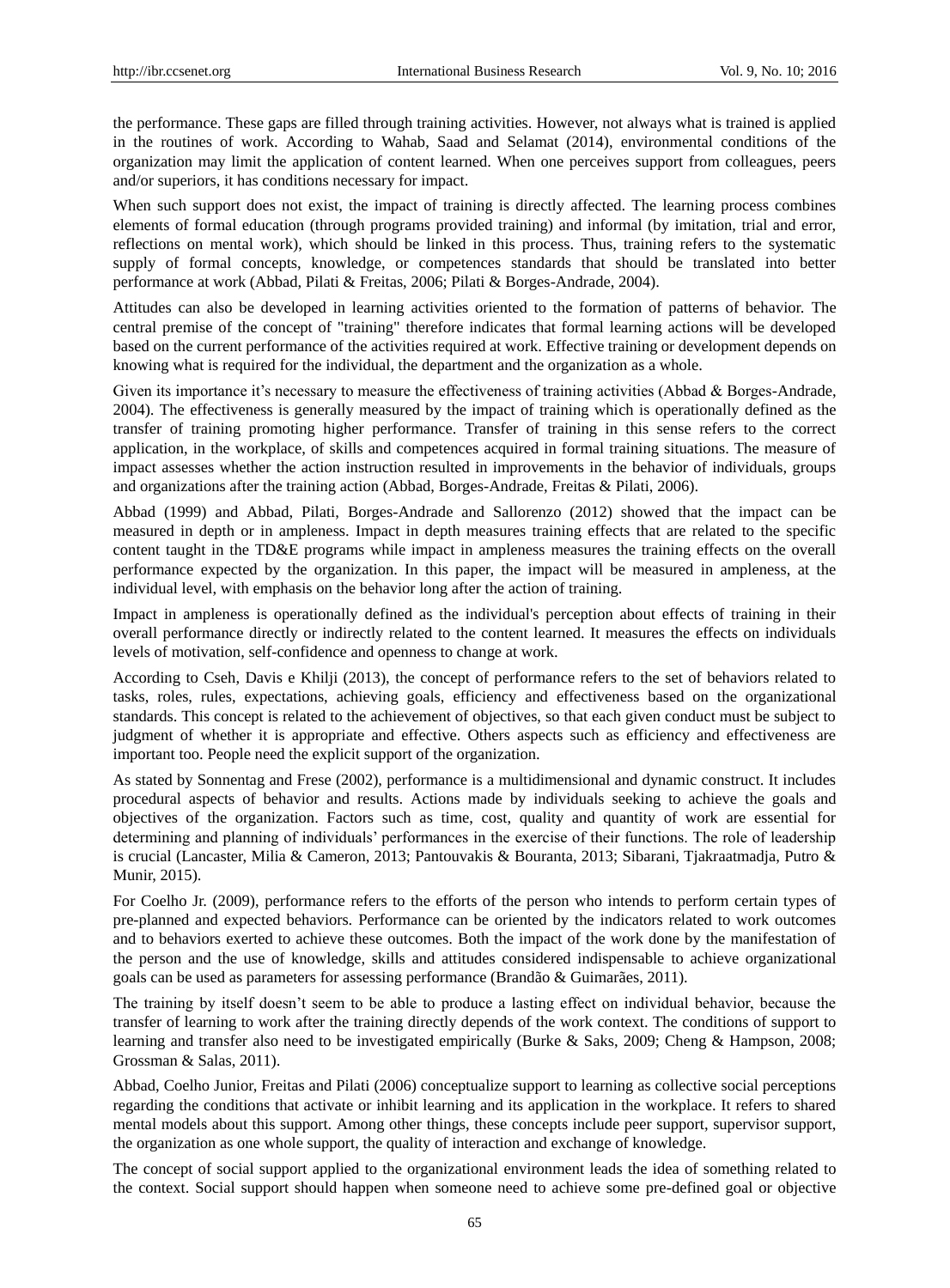the performance. These gaps are filled through training activities. However, not always what is trained is applied in the routines of work. According to Wahab, Saad and Selamat (2014), environmental conditions of the organization may limit the application of content learned. When one perceives support from colleagues, peers and/or superiors, it has conditions necessary for impact.

When such support does not exist, the impact of training is directly affected. The learning process combines elements of formal education (through programs provided training) and informal (by imitation, trial and error, reflections on mental work), which should be linked in this process. Thus, training refers to the systematic supply of formal concepts, knowledge, or competences standards that should be translated into better performance at work (Abbad, Pilati & Freitas, 2006; Pilati & Borges-Andrade, 2004).

Attitudes can also be developed in learning activities oriented to the formation of patterns of behavior. The central premise of the concept of "training" therefore indicates that formal learning actions will be developed based on the current performance of the activities required at work. Effective training or development depends on knowing what is required for the individual, the department and the organization as a whole.

Given its importance it's necessary to measure the effectiveness of training activities (Abbad & Borges-Andrade, 2004). The effectiveness is generally measured by the impact of training which is operationally defined as the transfer of training promoting higher performance. Transfer of training in this sense refers to the correct application, in the workplace, of skills and competences acquired in formal training situations. The measure of impact assesses whether the action instruction resulted in improvements in the behavior of individuals, groups and organizations after the training action (Abbad, Borges-Andrade, Freitas & Pilati, 2006).

Abbad (1999) and Abbad, Pilati, Borges-Andrade and Sallorenzo (2012) showed that the impact can be measured in depth or in ampleness. Impact in depth measures training effects that are related to the specific content taught in the TD&E programs while impact in ampleness measures the training effects on the overall performance expected by the organization. In this paper, the impact will be measured in ampleness, at the individual level, with emphasis on the behavior long after the action of training.

Impact in ampleness is operationally defined as the individual's perception about effects of training in their overall performance directly or indirectly related to the content learned. It measures the effects on individuals levels of motivation, self-confidence and openness to change at work.

According to Cseh, Davis e Khilji (2013), the concept of performance refers to the set of behaviors related to tasks, roles, rules, expectations, achieving goals, efficiency and effectiveness based on the organizational standards. This concept is related to the achievement of objectives, so that each given conduct must be subject to judgment of whether it is appropriate and effective. Others aspects such as efficiency and effectiveness are important too. People need the explicit support of the organization.

As stated by Sonnentag and Frese (2002), performance is a multidimensional and dynamic construct. It includes procedural aspects of behavior and results. Actions made by individuals seeking to achieve the goals and objectives of the organization. Factors such as time, cost, quality and quantity of work are essential for determining and planning of individuals' performances in the exercise of their functions. The role of leadership is crucial (Lancaster, Milia & Cameron, 2013; Pantouvakis & Bouranta, 2013; Sibarani, Tjakraatmadja, Putro & Munir, 2015).

For Coelho Jr. (2009), performance refers to the efforts of the person who intends to perform certain types of pre-planned and expected behaviors. Performance can be oriented by the indicators related to work outcomes and to behaviors exerted to achieve these outcomes. Both the impact of the work done by the manifestation of the person and the use of knowledge, skills and attitudes considered indispensable to achieve organizational goals can be used as parameters for assessing performance (Brand $\tilde{\boldsymbol{\alpha}}$  & Guimar $\tilde{\boldsymbol{\alpha}}$ es, 2011).

The training by itself doesn't seem to be able to produce a lasting effect on individual behavior, because the transfer of learning to work after the training directly depends of the work context. The conditions of support to learning and transfer also need to be investigated empirically (Burke & Saks, 2009; Cheng & Hampson, 2008; Grossman & Salas, 2011).

Abbad, Coelho Junior, Freitas and Pilati (2006) conceptualize support to learning as collective social perceptions regarding the conditions that activate or inhibit learning and its application in the workplace. It refers to shared mental models about this support. Among other things, these concepts include peer support, supervisor support, the organization as one whole support, the quality of interaction and exchange of knowledge.

The concept of social support applied to the organizational environment leads the idea of something related to the context. Social support should happen when someone need to achieve some pre-defined goal or objective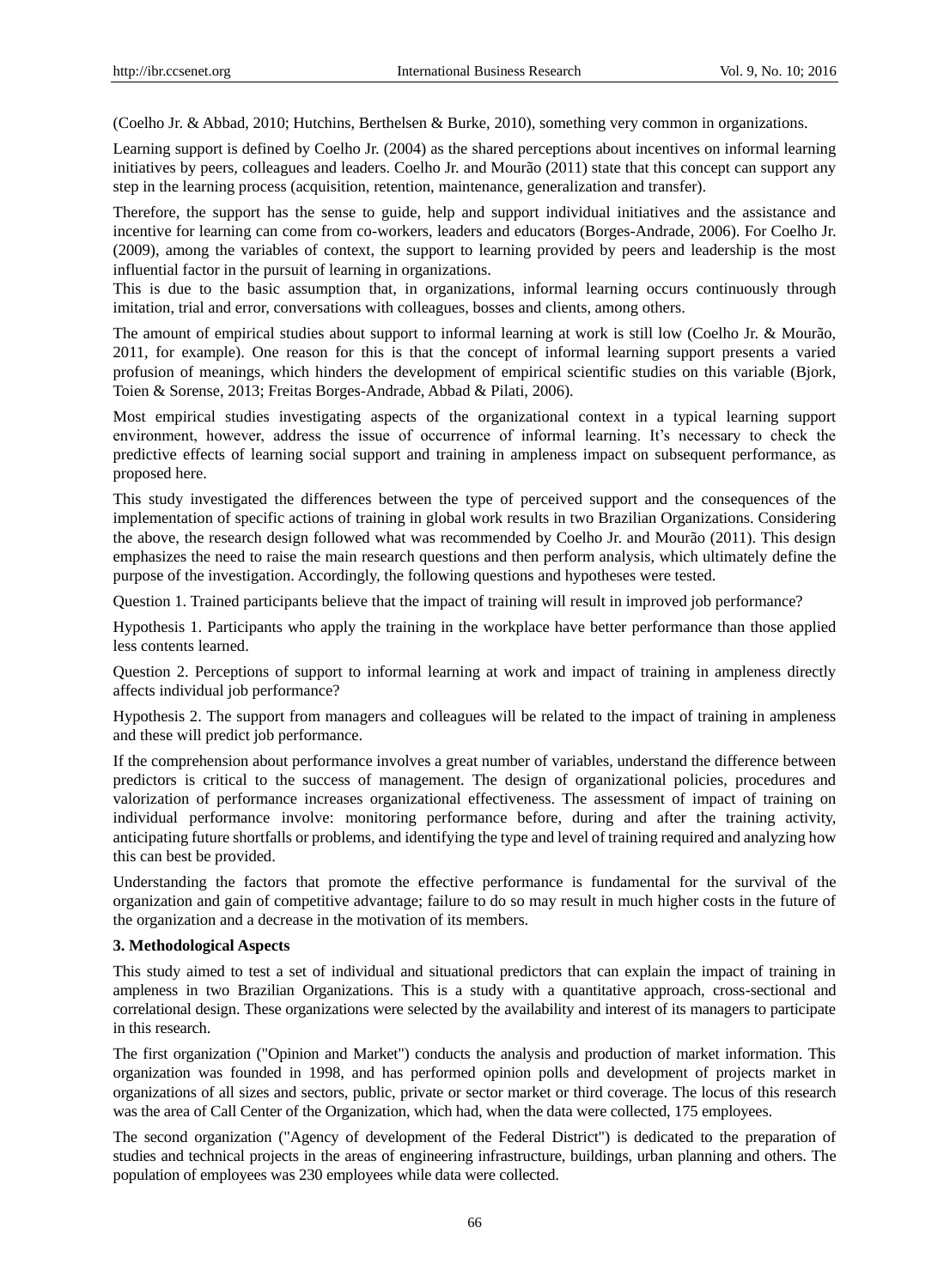(Coelho Jr. & Abbad, 2010; Hutchins, Berthelsen & Burke, 2010), something very common in organizations.

Learning support is defined by Coelho Jr. (2004) as the shared perceptions about incentives on informal learning initiatives by peers, colleagues and leaders. Coelho Jr. and Mourão (2011) state that this concept can support any step in the learning process (acquisition, retention, maintenance, generalization and transfer).

Therefore, the support has the sense to guide, help and support individual initiatives and the assistance and incentive for learning can come from co-workers, leaders and educators (Borges-Andrade, 2006). For Coelho Jr. (2009), among the variables of context, the support to learning provided by peers and leadership is the most influential factor in the pursuit of learning in organizations.

This is due to the basic assumption that, in organizations, informal learning occurs continuously through imitation, trial and error, conversations with colleagues, bosses and clients, among others.

The amount of empirical studies about support to informal learning at work is still low (Coelho Jr. & Mourão, 2011, for example). One reason for this is that the concept of informal learning support presents a varied profusion of meanings, which hinders the development of empirical scientific studies on this variable (Bjork, Toien & Sorense, 2013; Freitas Borges-Andrade, Abbad & Pilati, 2006).

Most empirical studies investigating aspects of the organizational context in a typical learning support environment, however, address the issue of occurrence of informal learning. It's necessary to check the predictive effects of learning social support and training in ampleness impact on subsequent performance, as proposed here.

This study investigated the differences between the type of perceived support and the consequences of the implementation of specific actions of training in global work results in two Brazilian Organizations. Considering the above, the research design followed what was recommended by Coelho Jr. and Mourão (2011). This design emphasizes the need to raise the main research questions and then perform analysis, which ultimately define the purpose of the investigation. Accordingly, the following questions and hypotheses were tested.

Question 1. Trained participants believe that the impact of training will result in improved job performance?

Hypothesis 1. Participants who apply the training in the workplace have better performance than those applied less contents learned.

Question 2. Perceptions of support to informal learning at work and impact of training in ampleness directly affects individual job performance?

Hypothesis 2. The support from managers and colleagues will be related to the impact of training in ampleness and these will predict job performance.

If the comprehension about performance involves a great number of variables, understand the difference between predictors is critical to the success of management. The design of organizational policies, procedures and valorization of performance increases organizational effectiveness. The assessment of impact of training on individual performance involve: monitoring performance before, during and after the training activity, anticipating future shortfalls or problems, and identifying the type and level of training required and analyzing how this can best be provided.

Understanding the factors that promote the effective performance is fundamental for the survival of the organization and gain of competitive advantage; failure to do so may result in much higher costs in the future of the organization and a decrease in the motivation of its members.

### **3. Methodological Aspects**

This study aimed to test a set of individual and situational predictors that can explain the impact of training in ampleness in two Brazilian Organizations. This is a study with a quantitative approach, cross-sectional and correlational design. These organizations were selected by the availability and interest of its managers to participate in this research.

The first organization ("Opinion and Market") conducts the analysis and production of market information. This organization was founded in 1998, and has performed opinion polls and development of projects market in organizations of all sizes and sectors, public, private or sector market or third coverage. The locus of this research was the area of Call Center of the Organization, which had, when the data were collected, 175 employees.

The second organization ("Agency of development of the Federal District") is dedicated to the preparation of studies and technical projects in the areas of engineering infrastructure, buildings, urban planning and others. The population of employees was 230 employees while data were collected.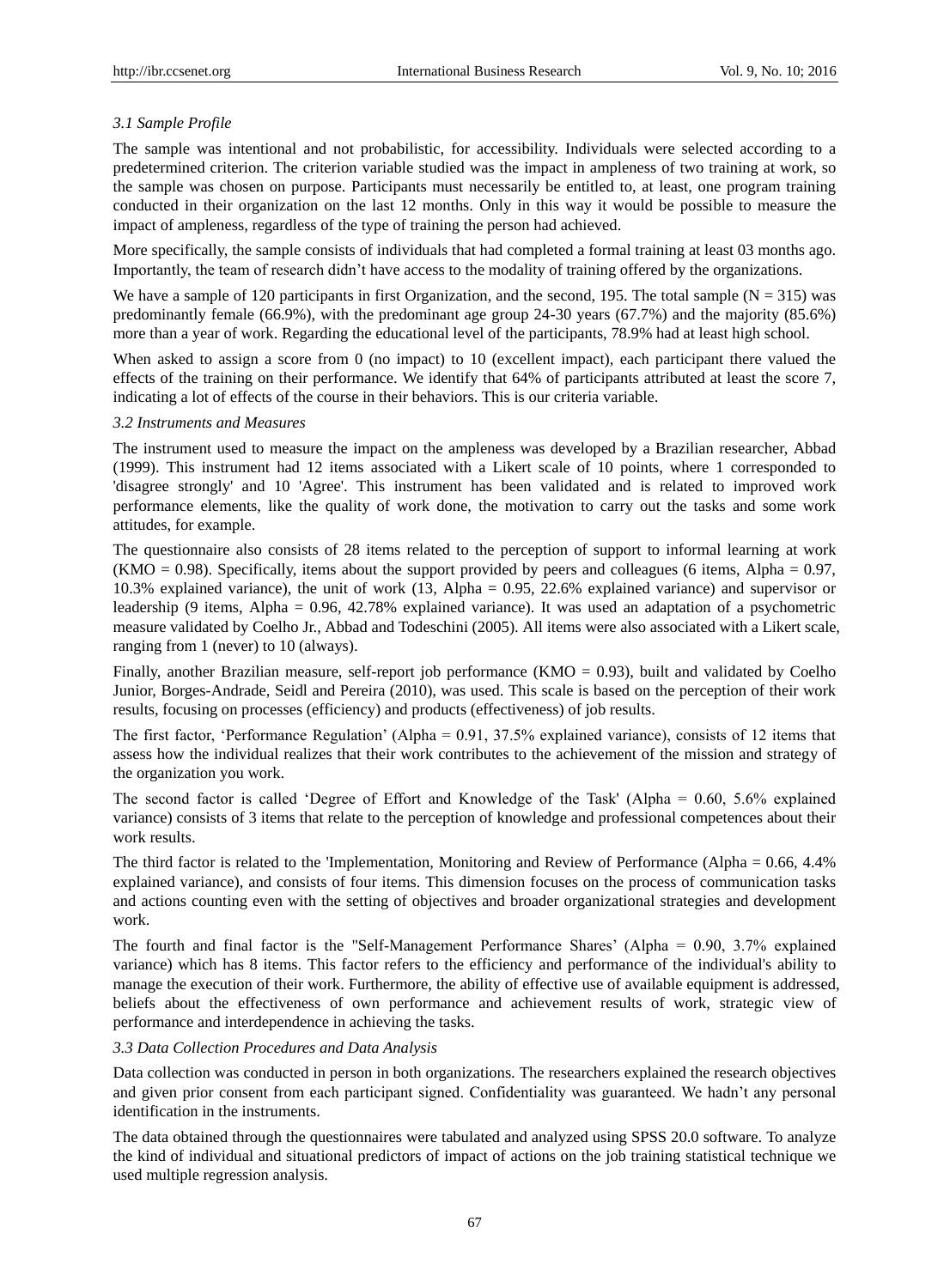## *3.1 Sample Profile*

The sample was intentional and not probabilistic, for accessibility. Individuals were selected according to a predetermined criterion. The criterion variable studied was the impact in ampleness of two training at work, so the sample was chosen on purpose. Participants must necessarily be entitled to, at least, one program training conducted in their organization on the last 12 months. Only in this way it would be possible to measure the impact of ampleness, regardless of the type of training the person had achieved.

More specifically, the sample consists of individuals that had completed a formal training at least 03 months ago. Importantly, the team of research didn't have access to the modality of training offered by the organizations.

We have a sample of 120 participants in first Organization, and the second, 195. The total sample  $(N = 315)$  was predominantly female (66.9%), with the predominant age group 24-30 years (67.7%) and the majority (85.6%) more than a year of work. Regarding the educational level of the participants, 78.9% had at least high school.

When asked to assign a score from 0 (no impact) to 10 (excellent impact), each participant there valued the effects of the training on their performance. We identify that 64% of participants attributed at least the score 7, indicating a lot of effects of the course in their behaviors. This is our criteria variable.

#### *3.2 Instruments and Measures*

The instrument used to measure the impact on the ampleness was developed by a Brazilian researcher, Abbad (1999). This instrument had 12 items associated with a Likert scale of 10 points, where 1 corresponded to 'disagree strongly' and 10 'Agree'. This instrument has been validated and is related to improved work performance elements, like the quality of work done, the motivation to carry out the tasks and some work attitudes, for example.

The questionnaire also consists of 28 items related to the perception of support to informal learning at work  $(KMO = 0.98)$ . Specifically, items about the support provided by peers and colleagues (6 items, Alpha = 0.97, 10.3% explained variance), the unit of work (13, Alpha = 0.95, 22.6% explained variance) and supervisor or leadership (9 items, Alpha = 0.96, 42.78% explained variance). It was used an adaptation of a psychometric measure validated by Coelho Jr., Abbad and Todeschini (2005). All items were also associated with a Likert scale, ranging from 1 (never) to 10 (always).

Finally, another Brazilian measure, self-report job performance (KMO = 0.93), built and validated by Coelho Junior, Borges-Andrade, Seidl and Pereira (2010), was used. This scale is based on the perception of their work results, focusing on processes (efficiency) and products (effectiveness) of job results.

The first factor, 'Performance Regulation' (Alpha = 0.91, 37.5% explained variance), consists of 12 items that assess how the individual realizes that their work contributes to the achievement of the mission and strategy of the organization you work.

The second factor is called 'Degree of Effort and Knowledge of the Task' (Alpha = 0.60, 5.6% explained variance) consists of 3 items that relate to the perception of knowledge and professional competences about their work results.

The third factor is related to the 'Implementation, Monitoring and Review of Performance (Alpha = 0.66, 4.4% explained variance), and consists of four items. This dimension focuses on the process of communication tasks and actions counting even with the setting of objectives and broader organizational strategies and development work.

The fourth and final factor is the "Self-Management Performance Shares' (Alpha = 0.90, 3.7% explained variance) which has 8 items. This factor refers to the efficiency and performance of the individual's ability to manage the execution of their work. Furthermore, the ability of effective use of available equipment is addressed, beliefs about the effectiveness of own performance and achievement results of work, strategic view of performance and interdependence in achieving the tasks.

# *3.3 Data Collection Procedures and Data Analysis*

Data collection was conducted in person in both organizations. The researchers explained the research objectives and given prior consent from each participant signed. Confidentiality was guaranteed. We hadn't any personal identification in the instruments.

The data obtained through the questionnaires were tabulated and analyzed using SPSS 20.0 software. To analyze the kind of individual and situational predictors of impact of actions on the job training statistical technique we used multiple regression analysis.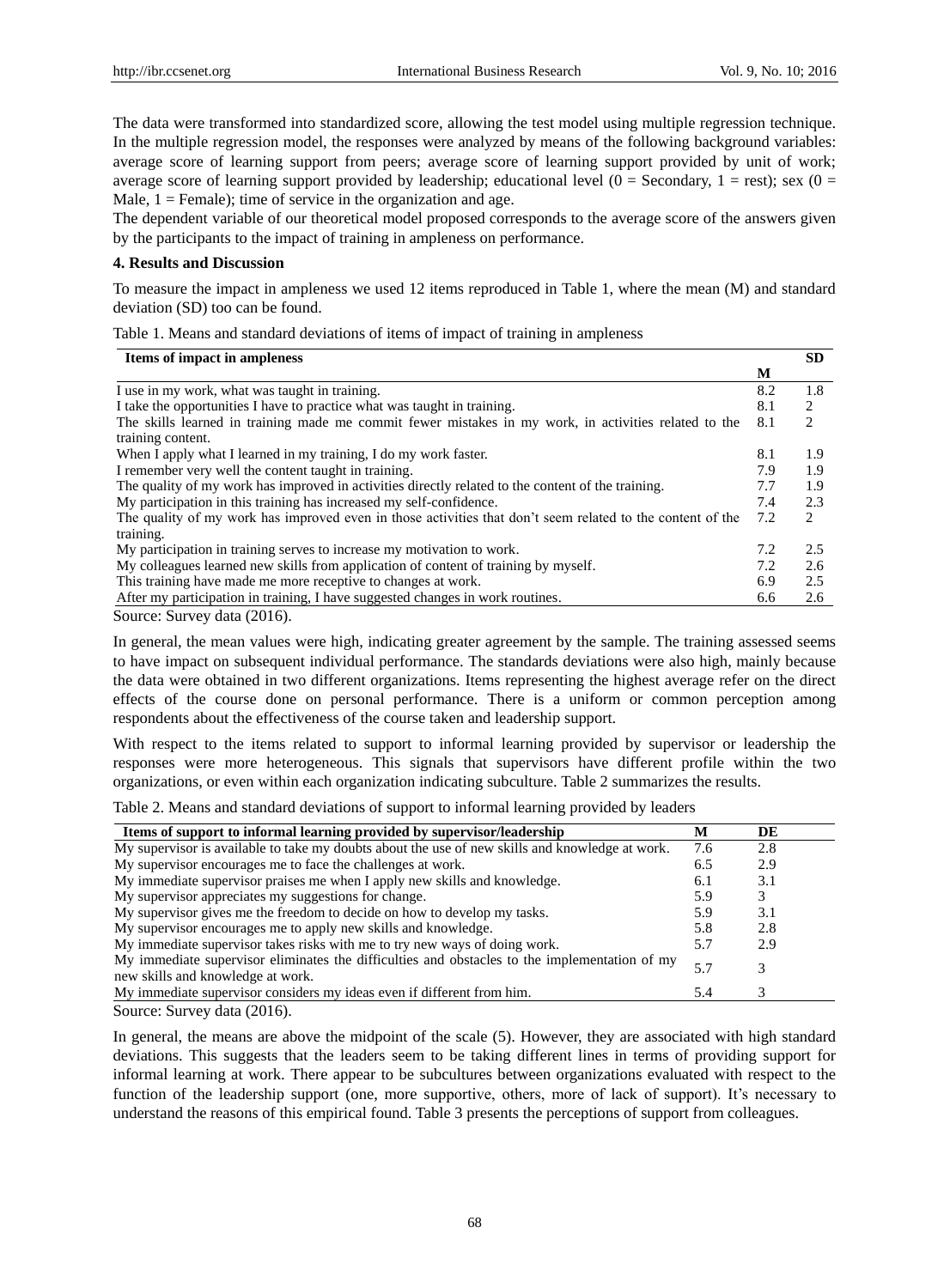The data were transformed into standardized score, allowing the test model using multiple regression technique. In the multiple regression model, the responses were analyzed by means of the following background variables: average score of learning support from peers; average score of learning support provided by unit of work; average score of learning support provided by leadership; educational level ( $0 =$  Secondary,  $1 =$  rest); sex ( $0 =$ Male,  $1 =$  Female); time of service in the organization and age.

The dependent variable of our theoretical model proposed corresponds to the average score of the answers given by the participants to the impact of training in ampleness on performance.

## **4. Results and Discussion**

To measure the impact in ampleness we used 12 items reproduced in Table 1, where the mean (M) and standard deviation (SD) too can be found.

Table 1. Means and standard deviations of items of impact of training in ampleness

| Items of impact in ampleness                                                                               |     | <b>SD</b> |
|------------------------------------------------------------------------------------------------------------|-----|-----------|
|                                                                                                            | М   |           |
| I use in my work, what was taught in training.                                                             | 8.2 | 1.8       |
| I take the opportunities I have to practice what was taught in training.                                   | 8.1 | 2         |
| The skills learned in training made me commit fewer mistakes in my work, in activities related to the      | 8.1 | 2         |
| training content.                                                                                          |     |           |
| When I apply what I learned in my training, I do my work faster.                                           | 8.1 | 1.9       |
| I remember very well the content taught in training.                                                       | 7.9 | 1.9       |
| The quality of my work has improved in activities directly related to the content of the training.         | 7.7 | 1.9       |
| My participation in this training has increased my self-confidence.                                        | 7.4 | 2.3       |
| The quality of my work has improved even in those activities that don't seem related to the content of the | 7.2 | 2         |
| training.                                                                                                  |     |           |
| My participation in training serves to increase my motivation to work.                                     | 7.2 | 2.5       |
| My colleagues learned new skills from application of content of training by myself.                        | 7.2 | 2.6       |
| This training have made me more receptive to changes at work.                                              | 6.9 | 2.5       |
| After my participation in training, I have suggested changes in work routines.                             | 6.6 | 2.6       |

Source: Survey data (2016).

In general, the mean values were high, indicating greater agreement by the sample. The training assessed seems to have impact on subsequent individual performance. The standards deviations were also high, mainly because the data were obtained in two different organizations. Items representing the highest average refer on the direct effects of the course done on personal performance. There is a uniform or common perception among respondents about the effectiveness of the course taken and leadership support.

With respect to the items related to support to informal learning provided by supervisor or leadership the responses were more heterogeneous. This signals that supervisors have different profile within the two organizations, or even within each organization indicating subculture. Table 2 summarizes the results.

Table 2. Means and standard deviations of support to informal learning provided by leaders

| Items of support to informal learning provided by supervisor/leadership                                                            | M   | DE  |
|------------------------------------------------------------------------------------------------------------------------------------|-----|-----|
| My supervisor is available to take my doubts about the use of new skills and knowledge at work.                                    | 7.6 | 2.8 |
| My supervisor encourages me to face the challenges at work.                                                                        | 6.5 | 2.9 |
| My immediate supervisor praises me when I apply new skills and knowledge.                                                          | 6.1 | 3.1 |
| My supervisor appreciates my suggestions for change.                                                                               | 5.9 |     |
| My supervisor gives me the freedom to decide on how to develop my tasks.                                                           | 5.9 | 3.1 |
| My supervisor encourages me to apply new skills and knowledge.                                                                     | 5.8 | 2.8 |
| My immediate supervisor takes risks with me to try new ways of doing work.                                                         | 5.7 | 2.9 |
| My immediate supervisor eliminates the difficulties and obstacles to the implementation of my<br>new skills and knowledge at work. | 5.7 |     |
| My immediate supervisor considers my ideas even if different from him.                                                             | 5.4 |     |

Source: Survey data (2016).

In general, the means are above the midpoint of the scale (5). However, they are associated with high standard deviations. This suggests that the leaders seem to be taking different lines in terms of providing support for informal learning at work. There appear to be subcultures between organizations evaluated with respect to the function of the leadership support (one, more supportive, others, more of lack of support). It's necessary to understand the reasons of this empirical found. Table 3 presents the perceptions of support from colleagues.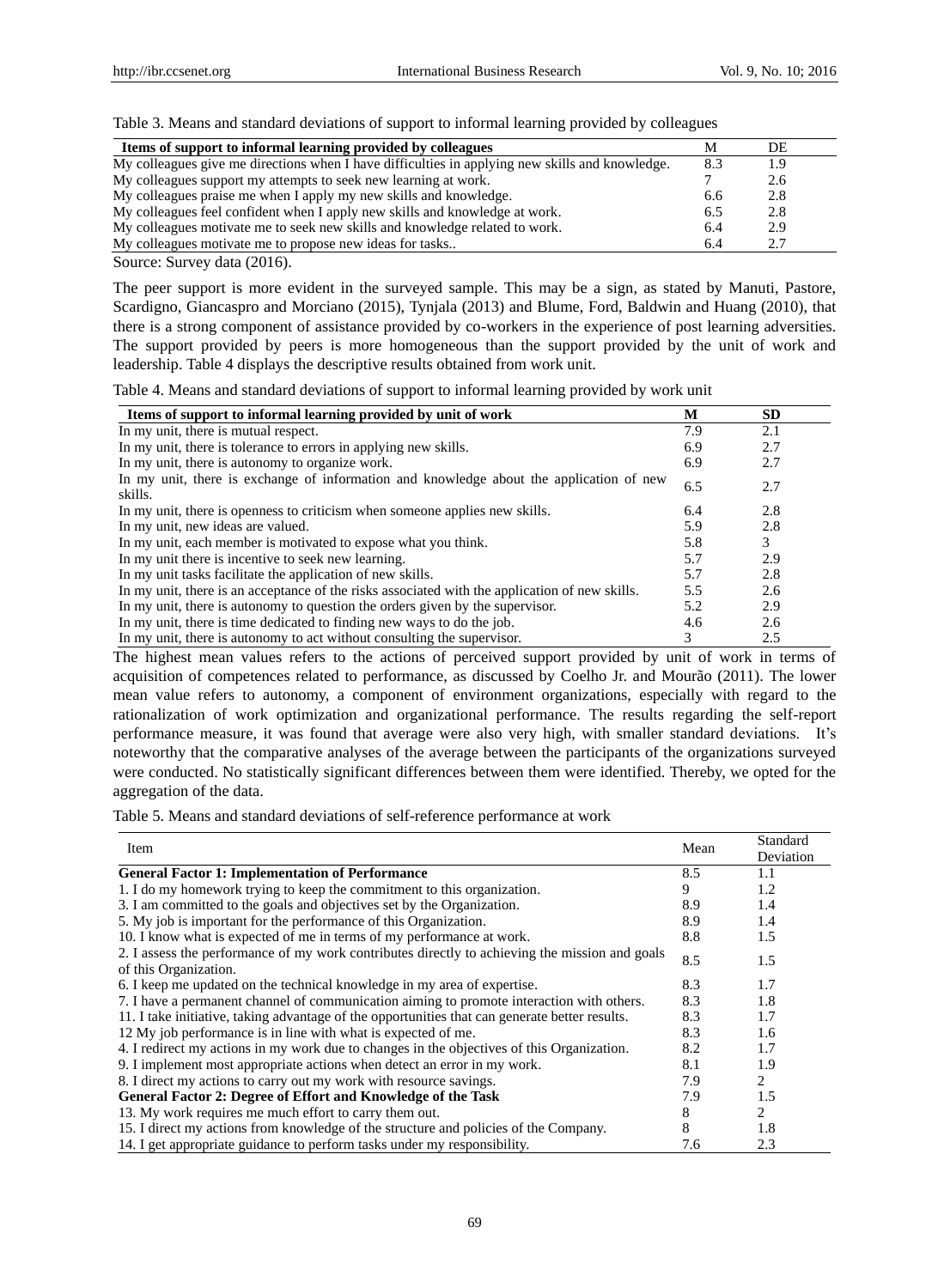Table 3. Means and standard deviations of support to informal learning provided by colleagues

| Items of support to informal learning provided by colleagues                                    | М   | DE  |
|-------------------------------------------------------------------------------------------------|-----|-----|
| My colleagues give me directions when I have difficulties in applying new skills and knowledge. | 8.3 | 1.9 |
| My colleagues support my attempts to seek new learning at work.                                 |     | 2.6 |
| My colleagues praise me when I apply my new skills and knowledge.                               | 6.6 | 2.8 |
| My colleagues feel confident when I apply new skills and knowledge at work.                     | 6.5 | 2.8 |
| My colleagues motivate me to seek new skills and knowledge related to work.                     | 6.4 | 2.9 |
| My colleagues motivate me to propose new ideas for tasks                                        | 6.4 | 2.7 |

Source: Survey data (2016).

The peer support is more evident in the surveyed sample. This may be a sign, as stated by Manuti, Pastore, Scardigno, Giancaspro and Morciano (2015), Tynjala (2013) and Blume, Ford, Baldwin and Huang (2010), that there is a strong component of assistance provided by co-workers in the experience of post learning adversities. The support provided by peers is more homogeneous than the support provided by the unit of work and leadership. Table 4 displays the descriptive results obtained from work unit.

Table 4. Means and standard deviations of support to informal learning provided by work unit

| Items of support to informal learning provided by unit of work                                     | M   | <b>SD</b> |
|----------------------------------------------------------------------------------------------------|-----|-----------|
| In my unit, there is mutual respect.                                                               | 7.9 | 2.1       |
| In my unit, there is tolerance to errors in applying new skills.                                   | 6.9 | 2.7       |
| In my unit, there is autonomy to organize work.                                                    | 6.9 | 2.7       |
| In my unit, there is exchange of information and knowledge about the application of new<br>skills. | 6.5 | 2.7       |
| In my unit, there is openness to criticism when someone applies new skills.                        | 6.4 | 2.8       |
| In my unit, new ideas are valued.                                                                  | 5.9 | 2.8       |
| In my unit, each member is motivated to expose what you think.                                     | 5.8 | 3         |
| In my unit there is incentive to seek new learning.                                                | 5.7 | 2.9       |
| In my unit tasks facilitate the application of new skills.                                         | 5.7 | 2.8       |
| In my unit, there is an acceptance of the risks associated with the application of new skills.     | 5.5 | 2.6       |
| In my unit, there is autonomy to question the orders given by the supervisor.                      | 5.2 | 2.9       |
| In my unit, there is time dedicated to finding new ways to do the job.                             | 4.6 | 2.6       |
| In my unit, there is autonomy to act without consulting the supervisor.                            | 3   | 2.5       |

The highest mean values refers to the actions of perceived support provided by unit of work in terms of acquisition of competences related to performance, as discussed by Coelho Jr. and Mourão (2011). The lower mean value refers to autonomy, a component of environment organizations, especially with regard to the rationalization of work optimization and organizational performance. The results regarding the self-report performance measure, it was found that average were also very high, with smaller standard deviations. It's noteworthy that the comparative analyses of the average between the participants of the organizations surveyed were conducted. No statistically significant differences between them were identified. Thereby, we opted for the aggregation of the data.

Table 5. Means and standard deviations of self-reference performance at work

| Item                                                                                                                    | Mean     | Standard<br>Deviation |
|-------------------------------------------------------------------------------------------------------------------------|----------|-----------------------|
| <b>General Factor 1: Implementation of Performance</b>                                                                  |          | 1.1                   |
| 1. I do my homework trying to keep the commitment to this organization.                                                 | 8.5<br>9 | 1.2                   |
| 3. I am committed to the goals and objectives set by the Organization.                                                  | 8.9      | 1.4                   |
| 5. My job is important for the performance of this Organization.                                                        | 8.9      | 1.4                   |
| 10. I know what is expected of me in terms of my performance at work.                                                   | 8.8      | 1.5                   |
| 2. I assess the performance of my work contributes directly to achieving the mission and goals<br>of this Organization. | 8.5      | 1.5                   |
| 6. I keep me updated on the technical knowledge in my area of expertise.                                                | 8.3      | 1.7                   |
| 7. I have a permanent channel of communication aiming to promote interaction with others.                               | 8.3      | 1.8                   |
| 11. I take initiative, taking advantage of the opportunities that can generate better results.                          | 8.3      | 1.7                   |
| 12 My job performance is in line with what is expected of me.                                                           | 8.3      | 1.6                   |
| 4. I redirect my actions in my work due to changes in the objectives of this Organization.                              | 8.2      | 1.7                   |
| 9. I implement most appropriate actions when detect an error in my work.                                                | 8.1      | 1.9                   |
| 8. I direct my actions to carry out my work with resource savings.                                                      | 7.9      | 2                     |
| General Factor 2: Degree of Effort and Knowledge of the Task                                                            |          | 1.5                   |
| 13. My work requires me much effort to carry them out.                                                                  | 8        | 2                     |
| 15. I direct my actions from knowledge of the structure and policies of the Company.                                    | 8        | 1.8                   |
| 14. I get appropriate guidance to perform tasks under my responsibility.                                                | 7.6      | 2.3                   |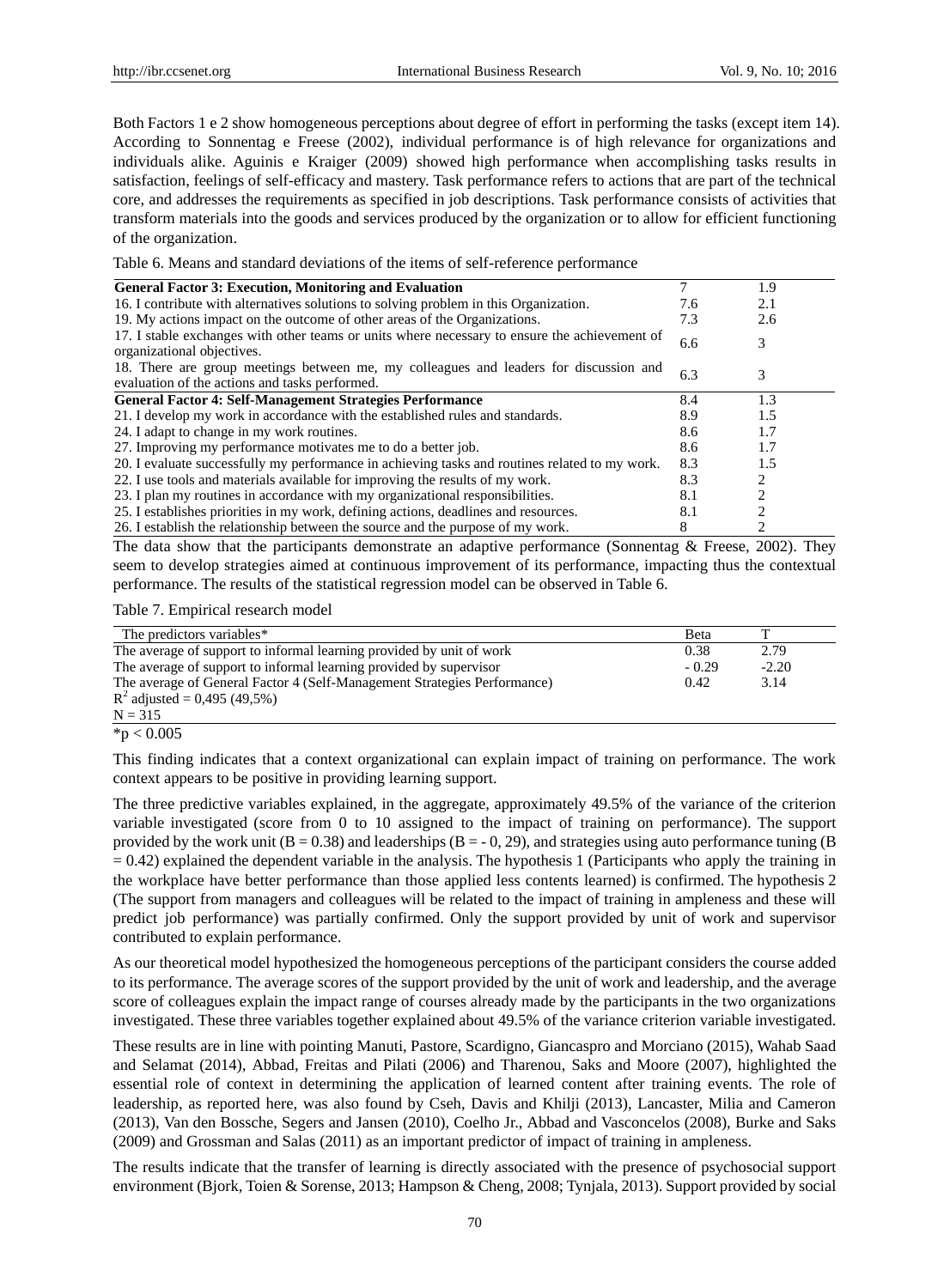Both Factors 1 e 2 show homogeneous perceptions about degree of effort in performing the tasks (except item 14). According to Sonnentag e Freese (2002), individual performance is of high relevance for organizations and individuals alike. Aguinis e Kraiger (2009) showed high performance when accomplishing tasks results in satisfaction, feelings of self-efficacy and mastery. Task performance refers to actions that are part of the technical core, and addresses the requirements as specified in job descriptions. Task performance consists of activities that transform materials into the goods and services produced by the organization or to allow for efficient functioning of the organization.

Table 6. Means and standard deviations of the items of self-reference performance

| <b>General Factor 3: Execution, Monitoring and Evaluation</b>                                                                           |     | 1.9 |
|-----------------------------------------------------------------------------------------------------------------------------------------|-----|-----|
| 16. I contribute with alternatives solutions to solving problem in this Organization.                                                   | 7.6 | 2.1 |
| 19. My actions impact on the outcome of other areas of the Organizations.                                                               | 7.3 | 2.6 |
| 17. I stable exchanges with other teams or units where necessary to ensure the achievement of<br>organizational objectives.             | 6.6 | 3   |
| 18. There are group meetings between me, my colleagues and leaders for discussion and<br>evaluation of the actions and tasks performed. | 6.3 |     |
| <b>General Factor 4: Self-Management Strategies Performance</b>                                                                         | 8.4 | 1.3 |
| 21. I develop my work in accordance with the established rules and standards.                                                           | 8.9 | 1.5 |
| 24. I adapt to change in my work routines.                                                                                              | 8.6 | 1.7 |
| 27. Improving my performance motivates me to do a better job.                                                                           | 8.6 | 1.7 |
| 20. I evaluate successfully my performance in achieving tasks and routines related to my work.                                          | 8.3 | 1.5 |
| 22. I use tools and materials available for improving the results of my work.                                                           | 8.3 |     |
| 23. I plan my routines in accordance with my organizational responsibilities.                                                           | 8.1 |     |
| 25. I establishes priorities in my work, defining actions, deadlines and resources.                                                     | 8.1 |     |
| 26. I establish the relationship between the source and the purpose of my work.                                                         | 8   |     |

The data show that the participants demonstrate an adaptive performance (Sonnentag & Freese, 2002). They seem to develop strategies aimed at continuous improvement of its performance, impacting thus the contextual performance. The results of the statistical regression model can be observed in Table 6.

Table 7. Empirical research model

| The predictors variables*                                                | Beta    |         |
|--------------------------------------------------------------------------|---------|---------|
| The average of support to informal learning provided by unit of work     | 0.38    | 2.79    |
| The average of support to informal learning provided by supervisor       | $-0.29$ | $-2.20$ |
| The average of General Factor 4 (Self-Management Strategies Performance) | 0.42    | 3.14    |
| $R^2$ adjusted = 0,495 (49,5%)                                           |         |         |
| $N = 315$                                                                |         |         |

#### $*$ p  $< 0.005$

This finding indicates that a context organizational can explain impact of training on performance. The work context appears to be positive in providing learning support.

The three predictive variables explained, in the aggregate, approximately 49.5% of the variance of the criterion variable investigated (score from 0 to 10 assigned to the impact of training on performance). The support provided by the work unit  $(B = 0.38)$  and leaderships  $(B = -0, 29)$ , and strategies using auto performance tuning (B)  $= 0.42$ ) explained the dependent variable in the analysis. The hypothesis 1 (Participants who apply the training in the workplace have better performance than those applied less contents learned) is confirmed. The hypothesis 2 (The support from managers and colleagues will be related to the impact of training in ampleness and these will predict job performance) was partially confirmed. Only the support provided by unit of work and supervisor contributed to explain performance.

As our theoretical model hypothesized the homogeneous perceptions of the participant considers the course added to its performance. The average scores of the support provided by the unit of work and leadership, and the average score of colleagues explain the impact range of courses already made by the participants in the two organizations investigated. These three variables together explained about 49.5% of the variance criterion variable investigated.

These results are in line with pointing Manuti, Pastore, Scardigno, Giancaspro and Morciano (2015), Wahab Saad and Selamat (2014), Abbad, Freitas and Pilati (2006) and Tharenou, Saks and Moore (2007), highlighted the essential role of context in determining the application of learned content after training events. The role of leadership, as reported here, was also found by Cseh, Davis and Khilji (2013), Lancaster, Milia and Cameron (2013), Van den Bossche, Segers and Jansen (2010), Coelho Jr., Abbad and Vasconcelos (2008), Burke and Saks (2009) and Grossman and Salas (2011) as an important predictor of impact of training in ampleness.

The results indicate that the transfer of learning is directly associated with the presence of psychosocial support environment (Bjork, Toien & Sorense, 2013; Hampson & Cheng, 2008; Tynjala, 2013). Support provided by social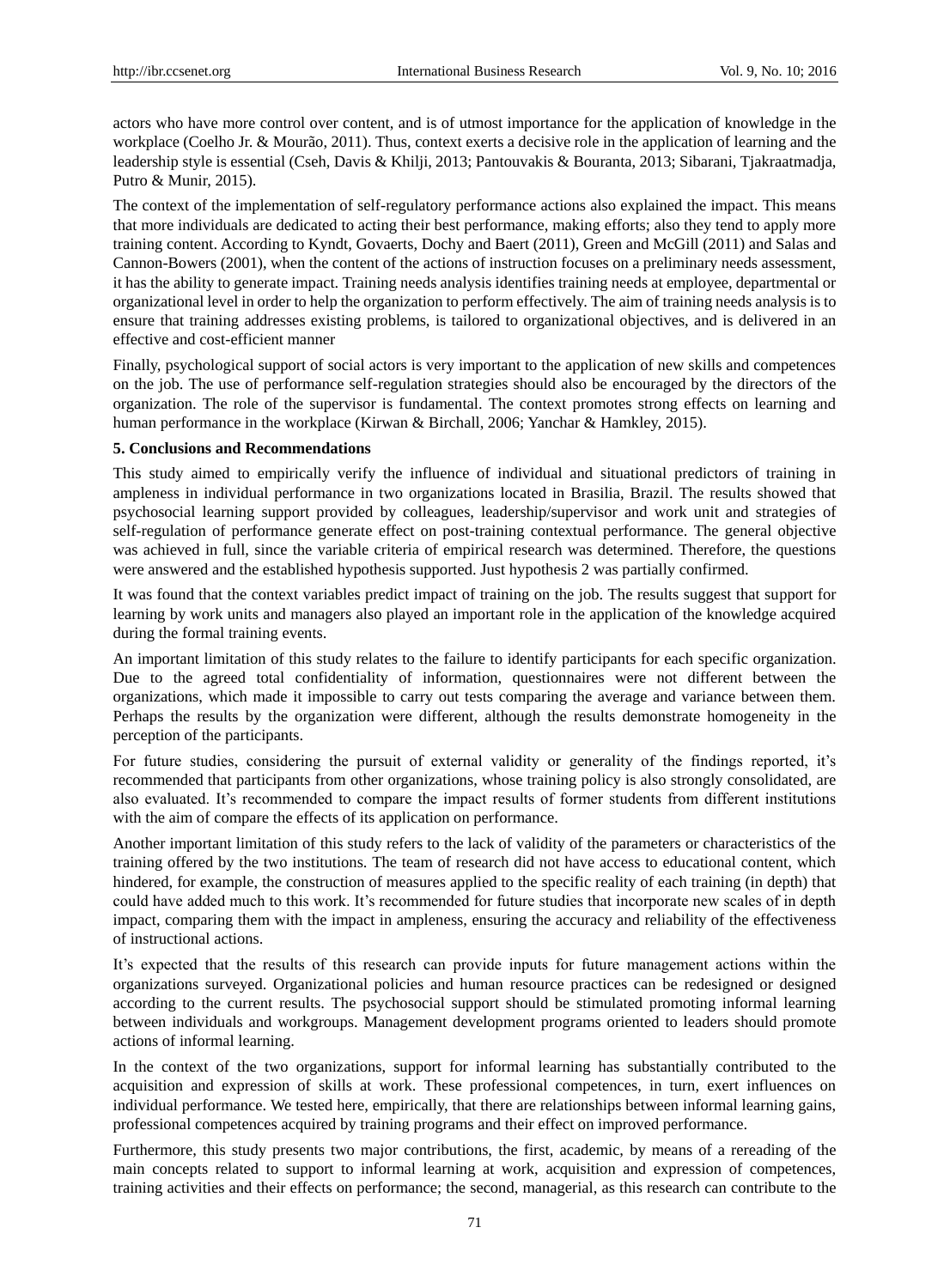actors who have more control over content, and is of utmost importance for the application of knowledge in the workplace (Coelho Jr. & Mour ão, 2011). Thus, context exerts a decisive role in the application of learning and the leadership style is essential (Cseh, Davis & Khilji, 2013; Pantouvakis & Bouranta, 2013; Sibarani, Tjakraatmadja, Putro & Munir, 2015).

The context of the implementation of self-regulatory performance actions also explained the impact. This means that more individuals are dedicated to acting their best performance, making efforts; also they tend to apply more training content. According to Kyndt, Govaerts, Dochy and Baert (2011), Green and McGill (2011) and Salas and Cannon-Bowers (2001), when the content of the actions of instruction focuses on a preliminary needs assessment, it has the ability to generate impact. Training needs analysis identifies training needs at employee, departmental or organizational level in order to help the organization to perform effectively. The aim of training needs analysis is to ensure that training addresses existing problems, is tailored to organizational objectives, and is delivered in an effective and cost-efficient manner

Finally, psychological support of social actors is very important to the application of new skills and competences on the job. The use of performance self-regulation strategies should also be encouraged by the directors of the organization. The role of the supervisor is fundamental. The context promotes strong effects on learning and human performance in the workplace (Kirwan & Birchall, 2006; Yanchar & Hamkley, 2015).

#### **5. Conclusions and Recommendations**

This study aimed to empirically verify the influence of individual and situational predictors of training in ampleness in individual performance in two organizations located in Brasilia, Brazil. The results showed that psychosocial learning support provided by colleagues, leadership/supervisor and work unit and strategies of self-regulation of performance generate effect on post-training contextual performance. The general objective was achieved in full, since the variable criteria of empirical research was determined. Therefore, the questions were answered and the established hypothesis supported. Just hypothesis 2 was partially confirmed.

It was found that the context variables predict impact of training on the job. The results suggest that support for learning by work units and managers also played an important role in the application of the knowledge acquired during the formal training events.

An important limitation of this study relates to the failure to identify participants for each specific organization. Due to the agreed total confidentiality of information, questionnaires were not different between the organizations, which made it impossible to carry out tests comparing the average and variance between them. Perhaps the results by the organization were different, although the results demonstrate homogeneity in the perception of the participants.

For future studies, considering the pursuit of external validity or generality of the findings reported, it's recommended that participants from other organizations, whose training policy is also strongly consolidated, are also evaluated. It's recommended to compare the impact results of former students from different institutions with the aim of compare the effects of its application on performance.

Another important limitation of this study refers to the lack of validity of the parameters or characteristics of the training offered by the two institutions. The team of research did not have access to educational content, which hindered, for example, the construction of measures applied to the specific reality of each training (in depth) that could have added much to this work. It's recommended for future studies that incorporate new scales of in depth impact, comparing them with the impact in ampleness, ensuring the accuracy and reliability of the effectiveness of instructional actions.

It's expected that the results of this research can provide inputs for future management actions within the organizations surveyed. Organizational policies and human resource practices can be redesigned or designed according to the current results. The psychosocial support should be stimulated promoting informal learning between individuals and workgroups. Management development programs oriented to leaders should promote actions of informal learning.

In the context of the two organizations, support for informal learning has substantially contributed to the acquisition and expression of skills at work. These professional competences, in turn, exert influences on individual performance. We tested here, empirically, that there are relationships between informal learning gains, professional competences acquired by training programs and their effect on improved performance.

Furthermore, this study presents two major contributions, the first, academic, by means of a rereading of the main concepts related to support to informal learning at work, acquisition and expression of competences, training activities and their effects on performance; the second, managerial, as this research can contribute to the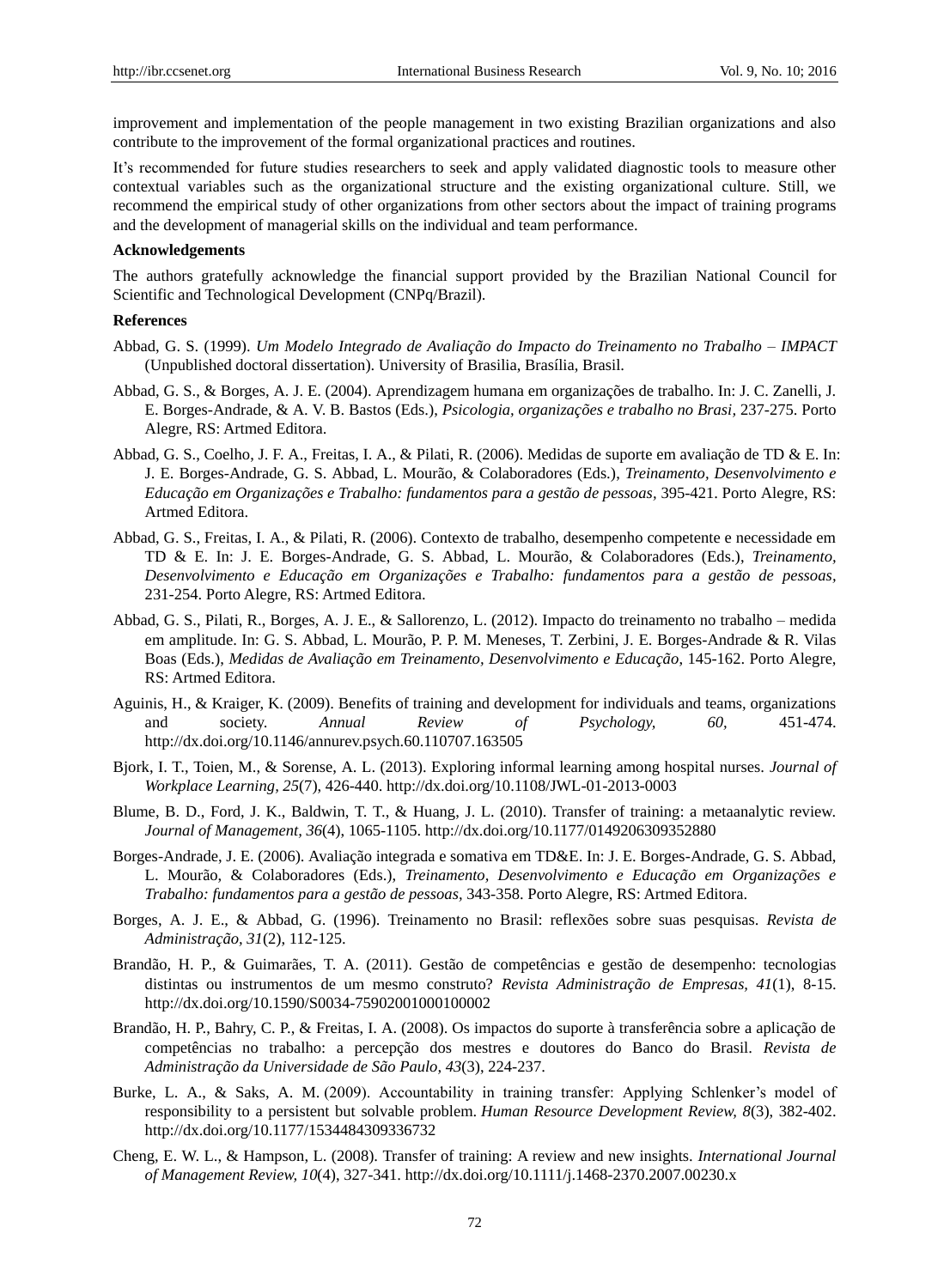improvement and implementation of the people management in two existing Brazilian organizations and also contribute to the improvement of the formal organizational practices and routines.

It's recommended for future studies researchers to seek and apply validated diagnostic tools to measure other contextual variables such as the organizational structure and the existing organizational culture. Still, we recommend the empirical study of other organizations from other sectors about the impact of training programs and the development of managerial skills on the individual and team performance.

# **Acknowledgements**

The authors gratefully acknowledge the financial support provided by the Brazilian National Council for Scientific and Technological Development (CNPq/Brazil).

#### **References**

- Abbad, G. S. (1999). *Um Modelo Integrado de Avaliação do Impacto do Treinamento no Trabalho – IMPACT* (Unpublished doctoral dissertation). University of Brasilia, Brasília, Brasil.
- Abbad, G. S., & Borges, A. J. E. (2004). Aprendizagem humana em organizações de trabalho. In: J. C. Zanelli, J. E. Borges-Andrade, & A. V. B. Bastos (Eds.), *Psicologia, organizações e trabalho no Brasi,* 237-275. Porto Alegre, RS: Artmed Editora.
- Abbad, G. S., Coelho, J. F. A., Freitas, I. A., & Pilati, R. (2006). Medidas de suporte em avaliação de TD & E. In: J. E. Borges-Andrade, G. S. Abbad, L. Mourão, & Colaboradores (Eds.), *Treinamento, Desenvolvimento e Educação em Organizações e Trabalho: fundamentos para a gestão de pessoas,* 395-421. Porto Alegre, RS: Artmed Editora.
- Abbad, G. S., Freitas, I. A., & Pilati, R. (2006). Contexto de trabalho, desempenho competente e necessidade em TD & E. In: J. E. Borges-Andrade, G. S. Abbad, L. Mourão, & Colaboradores (Eds.), *Treinamento, Desenvolvimento e Educação em Organizações e Trabalho: fundamentos para a gestão de pessoas,* 231-254. Porto Alegre, RS: Artmed Editora.
- Abbad, G. S., Pilati, R., Borges, A. J. E., & Sallorenzo, L. (2012). Impacto do treinamento no trabalho medida em amplitude. In: G. S. Abbad, L. Mourão, P. P. M. Meneses, T. Zerbini, J. E. Borges-Andrade & R. Vilas Boas (Eds.), *Medidas de Avaliação em Treinamento, Desenvolvimento e Educação*, 145-162. Porto Alegre, RS: Artmed Editora.
- Aguinis, H., & Kraiger, K. (2009). Benefits of training and development for individuals and teams, organizations and society. *Annual Review of Psychology, 60,* 451-474. <http://dx.doi.org/10.1146/annurev.psych.60.110707.163505>
- Bjork, I. T., Toien, M., & Sorense, A. L. (2013). Exploring informal learning among hospital nurses. *Journal of Workplace Learning, 25*(7), 426-440. <http://dx.doi.org/10.1108/JWL-01-2013-0003>
- Blume, B. D., Ford, J. K., Baldwin, T. T., & Huang, J. L. (2010). Transfer of training: a metaanalytic review. *Journal of Management, 36*(4), 1065-1105. <http://dx.doi.org/10.1177/0149206309352880>
- Borges-Andrade, J. E. (2006). Avaliação integrada e somativa em TD&E. In: J. E. Borges-Andrade, G. S. Abbad, L. Mourão, & Colaboradores (Eds.), *Treinamento, Desenvolvimento e Educação em Organizações e Trabalho: fundamentos para a gestão de pessoas,* 343-358. Porto Alegre, RS: Artmed Editora.
- Borges, A. J. E., & Abbad, G. (1996). Treinamento no Brasil: reflexões sobre suas pesquisas. *Revista de Administração, 31*(2), 112-125.
- Brandão, H. P., & Guimarães, T. A. (2011). Gestão de competências e gestão de desempenho: tecnologias distintas ou instrumentos de um mesmo construto? *Revista Administração de Empresas, 41*(1), 8-15. <http://dx.doi.org/10.1590/S0034-75902001000100002>
- Brandão, H. P., Bahry, C. P., & Freitas, I. A. (2008). Os impactos do suporte à transferência sobre a aplicação de competências no trabalho: a percepção dos mestres e doutores do Banco do Brasil. *Revista de Administração da Universidade de São Paulo, 43*(3), 224-237.
- Burke, L. A., & Saks, A. M. (2009). Accountability in training transfer: Applying Schlenker's model of responsibility to a persistent but solvable problem. *Human Resource Development Review, 8*(3), 382-402. <http://dx.doi.org/10.1177/1534484309336732>
- Cheng, E. W. L., & Hampson, L. (2008). Transfer of training: A review and new insights. *International Journal of Management Review, 10*(4), 327-341.<http://dx.doi.org/10.1111/j.1468-2370.2007.00230.x>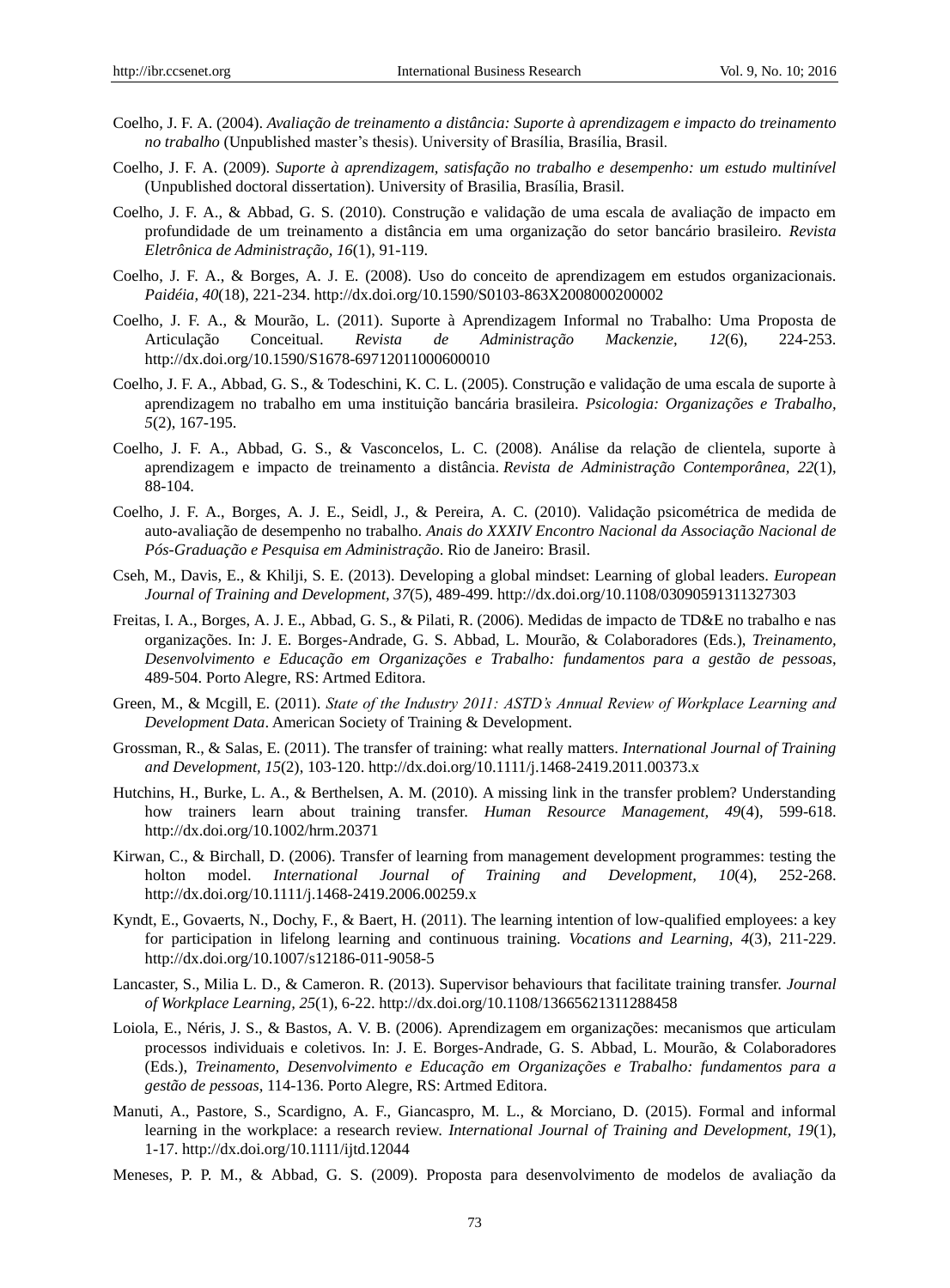- Coelho, J. F. A. (2004). *Avaliação de treinamento a distância: Suporte à aprendizagem e impacto do treinamento no trabalho* (Unpublished master's thesis). University of Brasília, Brasília, Brasil.
- Coelho, J. F. A. (2009). *Suporte à aprendizagem, satisfação no trabalho e desempenho: um estudo multinível* (Unpublished doctoral dissertation). University of Brasilia, Brasília, Brasil.
- Coelho, J. F. A., & Abbad, G. S. (2010). Construção e validação de uma escala de avaliação de impacto em profundidade de um treinamento a distância em uma organização do setor bancário brasileiro. *Revista Eletrônica de Administração, 16*(1), 91-119.
- Coelho, J. F. A., & Borges, A. J. E. (2008). Uso do conceito de aprendizagem em estudos organizacionais. *Paidéia, 40*(18), 221-234. <http://dx.doi.org/10.1590/S0103-863X2008000200002>
- Coelho, J. F. A., & Mourão, L. (2011). Suporte à Aprendizagem Informal no Trabalho: Uma Proposta de Articulação Conceitual. *Revista de Administração Mackenzie, 12*(6), 224-253. <http://dx.doi.org/10.1590/S1678-69712011000600010>
- Coelho, J. F. A., Abbad, G. S., & Todeschini, K. C. L. (2005). Construção e validação de uma escala de suporte à aprendizagem no trabalho em uma instituição bancária brasileira. *Psicologia: Organizações e Trabalho, 5*(2), 167-195.
- Coelho, J. F. A., Abbad, G. S., & Vasconcelos, L. C. (2008). Análise da relação de clientela, suporte à aprendizagem e impacto de treinamento a distância. *Revista de Administração Contemporânea, 22*(1), 88-104.
- Coelho, J. F. A., Borges, A. J. E., Seidl, J., & Pereira, A. C. (2010). Validação psicométrica de medida de auto-avaliação de desempenho no trabalho. *Anais do XXXIV Encontro Nacional da Associação Nacional de Pós-Graduação e Pesquisa em Administração*. Rio de Janeiro: Brasil.
- Cseh, M., Davis, E., & Khilji, S. E. (2013). Developing a global mindset: Learning of global leaders. *European Journal of Training and Development, 37*(5), 489-499. <http://dx.doi.org/10.1108/03090591311327303>
- Freitas, I. A., Borges, A. J. E., Abbad, G. S., & Pilati, R. (2006). Medidas de impacto de TD&E no trabalho e nas organizações. In: J. E. Borges-Andrade, G. S. Abbad, L. Mourão, & Colaboradores (Eds.), *Treinamento, Desenvolvimento e Educação em Organizações e Trabalho: fundamentos para a gestão de pessoas*, 489-504. Porto Alegre, RS: Artmed Editora.
- Green, M., & Mcgill, E. (2011). *State of the Industry 2011: ASTD's Annual Review of Workplace Learning and Development Data*. American Society of Training & Development.
- Grossman, R., & Salas, E. (2011). The transfer of training: what really matters. *International Journal of Training and Development, 15*(2), 103-120. <http://dx.doi.org/10.1111/j.1468-2419.2011.00373.x>
- Hutchins, H., Burke, L. A., & Berthelsen, A. M. (2010). A missing link in the transfer problem? Understanding how trainers learn about training transfer. *Human Resource Management, 49*(4), 599-618. <http://dx.doi.org/10.1002/hrm.20371>
- Kirwan, C., & Birchall, D. (2006). Transfer of learning from management development programmes: testing the holton model. *International Journal of Training and Development, 10*(4), 252-268. <http://dx.doi.org/10.1111/j.1468-2419.2006.00259.x>
- Kyndt, E., Govaerts, N., Dochy, F., & Baert, H. (2011). The learning intention of low-qualified employees: a key for participation in lifelong learning and continuous training. *Vocations and Learning, 4*(3), 211-229. <http://dx.doi.org/10.1007/s12186-011-9058-5>
- Lancaster, S., Milia L. D., & Cameron. R. (2013). Supervisor behaviours that facilitate training transfer. *Journal of Workplace Learning, 25*(1), 6-22. <http://dx.doi.org/10.1108/13665621311288458>
- Loiola, E., Néris, J. S., & Bastos, A. V. B. (2006). Aprendizagem em organizações: mecanismos que articulam processos individuais e coletivos. In: J. E. Borges-Andrade, G. S. Abbad, L. Mourão, & Colaboradores (Eds.), *Treinamento, Desenvolvimento e Educação em Organizações e Trabalho: fundamentos para a gestão de pessoas,* 114-136. Porto Alegre, RS: Artmed Editora.
- Manuti, A., Pastore, S., Scardigno, A. F., Giancaspro, M. L., & Morciano, D. (2015). Formal and informal learning in the workplace: a research review. *International Journal of Training and Development, 19*(1), 1-17.<http://dx.doi.org/10.1111/ijtd.12044>
- Meneses, P. P. M., & Abbad, G. S. (2009). Proposta para desenvolvimento de modelos de avaliação da